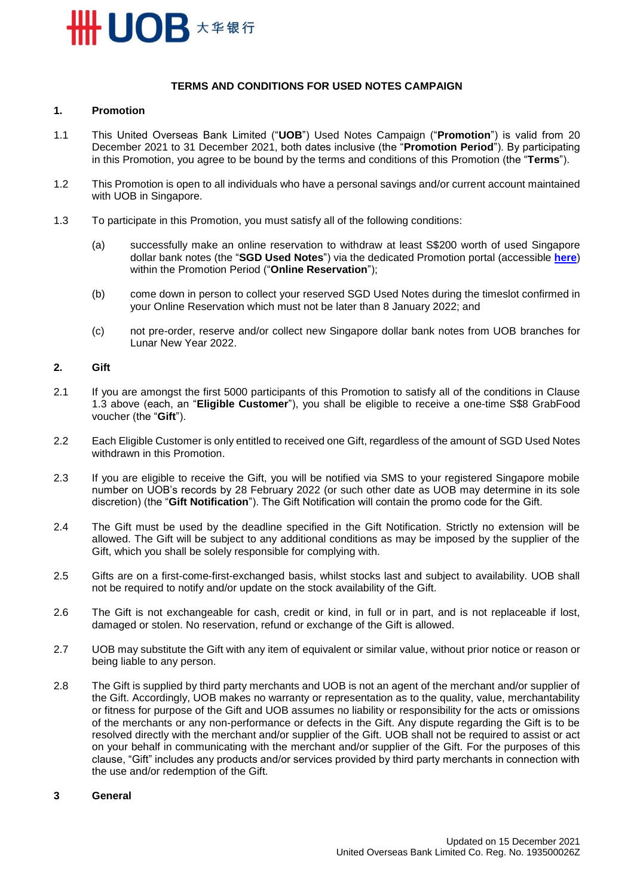

### **TERMS AND CONDITIONS FOR USED NOTES CAMPAIGN**

## **1. Promotion**

- 1.1 This United Overseas Bank Limited ("**UOB**") Used Notes Campaign ("**Promotion**") is valid from 20 December 2021 to 31 December 2021, both dates inclusive (the "**Promotion Period**"). By participating in this Promotion, you agree to be bound by the terms and conditions of this Promotion (the "**Terms**").
- 1.2 This Promotion is open to all individuals who have a personal savings and/or current account maintained with UOB in Singapore.
- 1.3 To participate in this Promotion, you must satisfy all of the following conditions:
	- (a) successfully make an online reservation to withdraw at least S\$200 worth of used Singapore dollar bank notes (the "**SGD Used Notes**") via the dedicated Promotion portal (accessible **[here](https://forms.uob.com.sg/eservices/lny/used-notes-reservation-form.html)**) within the Promotion Period ("**Online Reservation**");
	- (b) come down in person to collect your reserved SGD Used Notes during the timeslot confirmed in your Online Reservation which must not be later than 8 January 2022; and
	- (c) not pre-order, reserve and/or collect new Singapore dollar bank notes from UOB branches for Lunar New Year 2022.

#### **2. Gift**

- 2.1 If you are amongst the first 5000 participants of this Promotion to satisfy all of the conditions in Clause 1.3 above (each, an "**Eligible Customer**"), you shall be eligible to receive a one-time S\$8 GrabFood voucher (the "**Gift**").
- 2.2 Each Eligible Customer is only entitled to received one Gift, regardless of the amount of SGD Used Notes withdrawn in this Promotion.
- 2.3 If you are eligible to receive the Gift, you will be notified via SMS to your registered Singapore mobile number on UOB's records by 28 February 2022 (or such other date as UOB may determine in its sole discretion) (the "**Gift Notification**"). The Gift Notification will contain the promo code for the Gift.
- 2.4 The Gift must be used by the deadline specified in the Gift Notification. Strictly no extension will be allowed. The Gift will be subject to any additional conditions as may be imposed by the supplier of the Gift, which you shall be solely responsible for complying with.
- 2.5 Gifts are on a first-come-first-exchanged basis, whilst stocks last and subject to availability. UOB shall not be required to notify and/or update on the stock availability of the Gift.
- 2.6 The Gift is not exchangeable for cash, credit or kind, in full or in part, and is not replaceable if lost, damaged or stolen. No reservation, refund or exchange of the Gift is allowed.
- 2.7 UOB may substitute the Gift with any item of equivalent or similar value, without prior notice or reason or being liable to any person.
- 2.8 The Gift is supplied by third party merchants and UOB is not an agent of the merchant and/or supplier of the Gift. Accordingly, UOB makes no warranty or representation as to the quality, value, merchantability or fitness for purpose of the Gift and UOB assumes no liability or responsibility for the acts or omissions of the merchants or any non-performance or defects in the Gift. Any dispute regarding the Gift is to be resolved directly with the merchant and/or supplier of the Gift. UOB shall not be required to assist or act on your behalf in communicating with the merchant and/or supplier of the Gift. For the purposes of this clause, "Gift" includes any products and/or services provided by third party merchants in connection with the use and/or redemption of the Gift.
- **3 General**